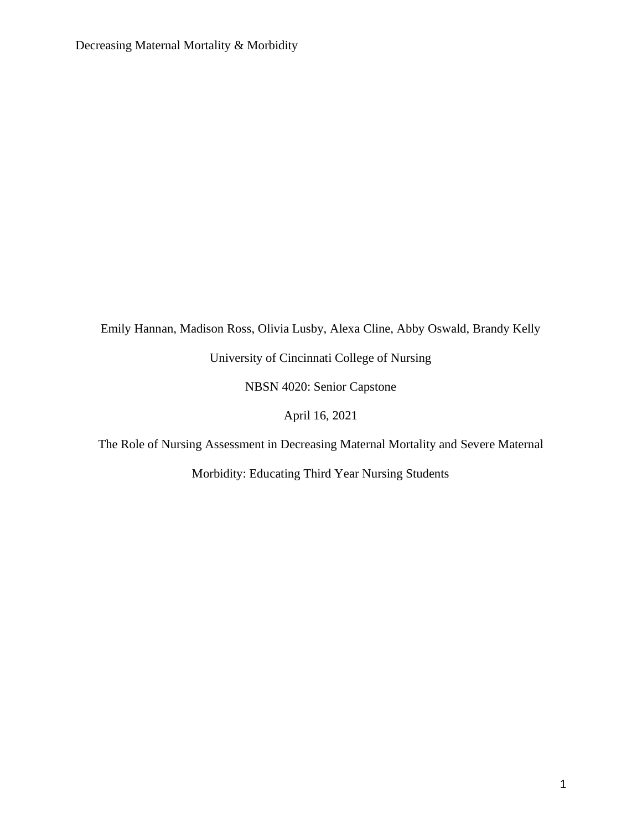Emily Hannan, Madison Ross, Olivia Lusby, Alexa Cline, Abby Oswald, Brandy Kelly University of Cincinnati College of Nursing

NBSN 4020: Senior Capstone

April 16, 2021

The Role of Nursing Assessment in Decreasing Maternal Mortality and Severe Maternal

Morbidity: Educating Third Year Nursing Students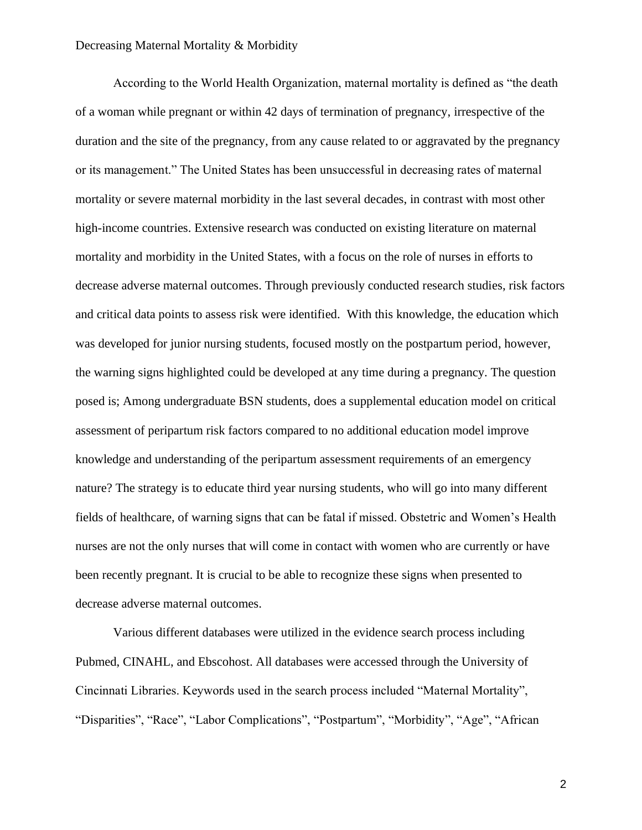According to the World Health Organization, maternal mortality is defined as "the death of a woman while pregnant or within 42 days of termination of pregnancy, irrespective of the duration and the site of the pregnancy, from any cause related to or aggravated by the pregnancy or its management." The United States has been unsuccessful in decreasing rates of maternal mortality or severe maternal morbidity in the last several decades, in contrast with most other high-income countries. Extensive research was conducted on existing literature on maternal mortality and morbidity in the United States, with a focus on the role of nurses in efforts to decrease adverse maternal outcomes. Through previously conducted research studies, risk factors and critical data points to assess risk were identified. With this knowledge, the education which was developed for junior nursing students, focused mostly on the postpartum period, however, the warning signs highlighted could be developed at any time during a pregnancy. The question posed is; Among undergraduate BSN students, does a supplemental education model on critical assessment of peripartum risk factors compared to no additional education model improve knowledge and understanding of the peripartum assessment requirements of an emergency nature? The strategy is to educate third year nursing students, who will go into many different fields of healthcare, of warning signs that can be fatal if missed. Obstetric and Women's Health nurses are not the only nurses that will come in contact with women who are currently or have been recently pregnant. It is crucial to be able to recognize these signs when presented to decrease adverse maternal outcomes.

Various different databases were utilized in the evidence search process including Pubmed, CINAHL, and Ebscohost. All databases were accessed through the University of Cincinnati Libraries. Keywords used in the search process included "Maternal Mortality", "Disparities", "Race", "Labor Complications", "Postpartum", "Morbidity", "Age", "African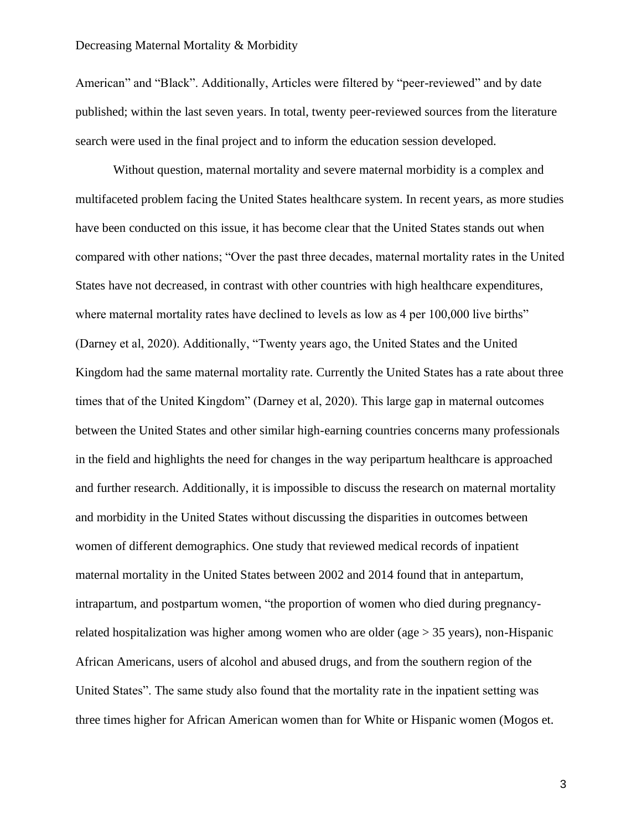American" and "Black". Additionally, Articles were filtered by "peer-reviewed" and by date published; within the last seven years. In total, twenty peer-reviewed sources from the literature search were used in the final project and to inform the education session developed.

Without question, maternal mortality and severe maternal morbidity is a complex and multifaceted problem facing the United States healthcare system. In recent years, as more studies have been conducted on this issue, it has become clear that the United States stands out when compared with other nations; "Over the past three decades, maternal mortality rates in the United States have not decreased, in contrast with other countries with high healthcare expenditures, where maternal mortality rates have declined to levels as low as 4 per 100,000 live births" (Darney et al, 2020). Additionally, "Twenty years ago, the United States and the United Kingdom had the same maternal mortality rate. Currently the United States has a rate about three times that of the United Kingdom" (Darney et al, 2020). This large gap in maternal outcomes between the United States and other similar high-earning countries concerns many professionals in the field and highlights the need for changes in the way peripartum healthcare is approached and further research. Additionally, it is impossible to discuss the research on maternal mortality and morbidity in the United States without discussing the disparities in outcomes between women of different demographics. One study that reviewed medical records of inpatient maternal mortality in the United States between 2002 and 2014 found that in antepartum, intrapartum, and postpartum women, "the proportion of women who died during pregnancyrelated hospitalization was higher among women who are older (age > 35 years), non-Hispanic African Americans, users of alcohol and abused drugs, and from the southern region of the United States". The same study also found that the mortality rate in the inpatient setting was three times higher for African American women than for White or Hispanic women (Mogos et.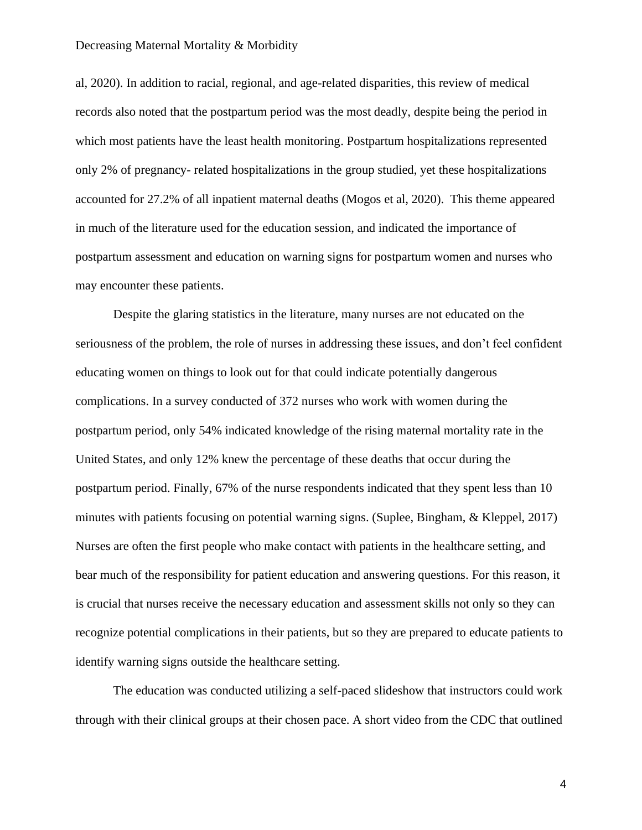al, 2020). In addition to racial, regional, and age-related disparities, this review of medical records also noted that the postpartum period was the most deadly, despite being the period in which most patients have the least health monitoring. Postpartum hospitalizations represented only 2% of pregnancy- related hospitalizations in the group studied, yet these hospitalizations accounted for 27.2% of all inpatient maternal deaths (Mogos et al, 2020). This theme appeared in much of the literature used for the education session, and indicated the importance of postpartum assessment and education on warning signs for postpartum women and nurses who may encounter these patients.

Despite the glaring statistics in the literature, many nurses are not educated on the seriousness of the problem, the role of nurses in addressing these issues, and don't feel confident educating women on things to look out for that could indicate potentially dangerous complications. In a survey conducted of 372 nurses who work with women during the postpartum period, only 54% indicated knowledge of the rising maternal mortality rate in the United States, and only 12% knew the percentage of these deaths that occur during the postpartum period. Finally, 67% of the nurse respondents indicated that they spent less than 10 minutes with patients focusing on potential warning signs. (Suplee, Bingham, & Kleppel, 2017) Nurses are often the first people who make contact with patients in the healthcare setting, and bear much of the responsibility for patient education and answering questions. For this reason, it is crucial that nurses receive the necessary education and assessment skills not only so they can recognize potential complications in their patients, but so they are prepared to educate patients to identify warning signs outside the healthcare setting.

The education was conducted utilizing a self-paced slideshow that instructors could work through with their clinical groups at their chosen pace. A short video from the CDC that outlined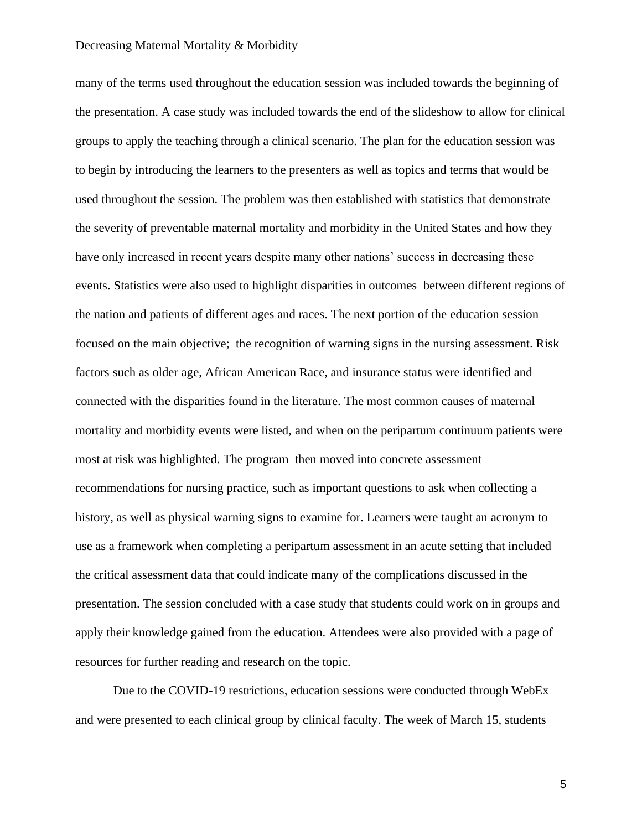many of the terms used throughout the education session was included towards the beginning of the presentation. A case study was included towards the end of the slideshow to allow for clinical groups to apply the teaching through a clinical scenario. The plan for the education session was to begin by introducing the learners to the presenters as well as topics and terms that would be used throughout the session. The problem was then established with statistics that demonstrate the severity of preventable maternal mortality and morbidity in the United States and how they have only increased in recent years despite many other nations' success in decreasing these events. Statistics were also used to highlight disparities in outcomes between different regions of the nation and patients of different ages and races. The next portion of the education session focused on the main objective; the recognition of warning signs in the nursing assessment. Risk factors such as older age, African American Race, and insurance status were identified and connected with the disparities found in the literature. The most common causes of maternal mortality and morbidity events were listed, and when on the peripartum continuum patients were most at risk was highlighted. The program then moved into concrete assessment recommendations for nursing practice, such as important questions to ask when collecting a history, as well as physical warning signs to examine for. Learners were taught an acronym to use as a framework when completing a peripartum assessment in an acute setting that included the critical assessment data that could indicate many of the complications discussed in the presentation. The session concluded with a case study that students could work on in groups and apply their knowledge gained from the education. Attendees were also provided with a page of resources for further reading and research on the topic.

Due to the COVID-19 restrictions, education sessions were conducted through WebEx and were presented to each clinical group by clinical faculty. The week of March 15, students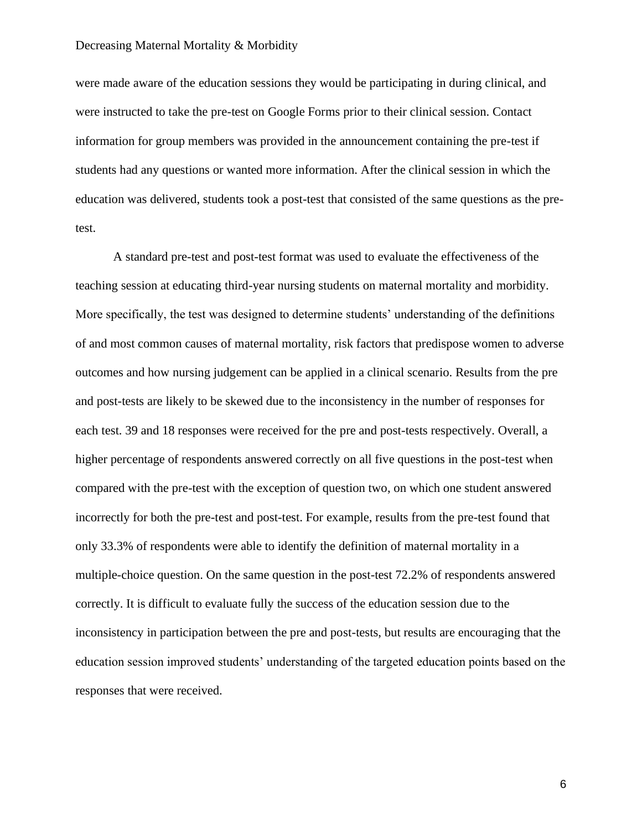were made aware of the education sessions they would be participating in during clinical, and were instructed to take the pre-test on Google Forms prior to their clinical session. Contact information for group members was provided in the announcement containing the pre-test if students had any questions or wanted more information. After the clinical session in which the education was delivered, students took a post-test that consisted of the same questions as the pretest.

A standard pre-test and post-test format was used to evaluate the effectiveness of the teaching session at educating third-year nursing students on maternal mortality and morbidity. More specifically, the test was designed to determine students' understanding of the definitions of and most common causes of maternal mortality, risk factors that predispose women to adverse outcomes and how nursing judgement can be applied in a clinical scenario. Results from the pre and post-tests are likely to be skewed due to the inconsistency in the number of responses for each test. 39 and 18 responses were received for the pre and post-tests respectively. Overall, a higher percentage of respondents answered correctly on all five questions in the post-test when compared with the pre-test with the exception of question two, on which one student answered incorrectly for both the pre-test and post-test. For example, results from the pre-test found that only 33.3% of respondents were able to identify the definition of maternal mortality in a multiple-choice question. On the same question in the post-test 72.2% of respondents answered correctly. It is difficult to evaluate fully the success of the education session due to the inconsistency in participation between the pre and post-tests, but results are encouraging that the education session improved students' understanding of the targeted education points based on the responses that were received.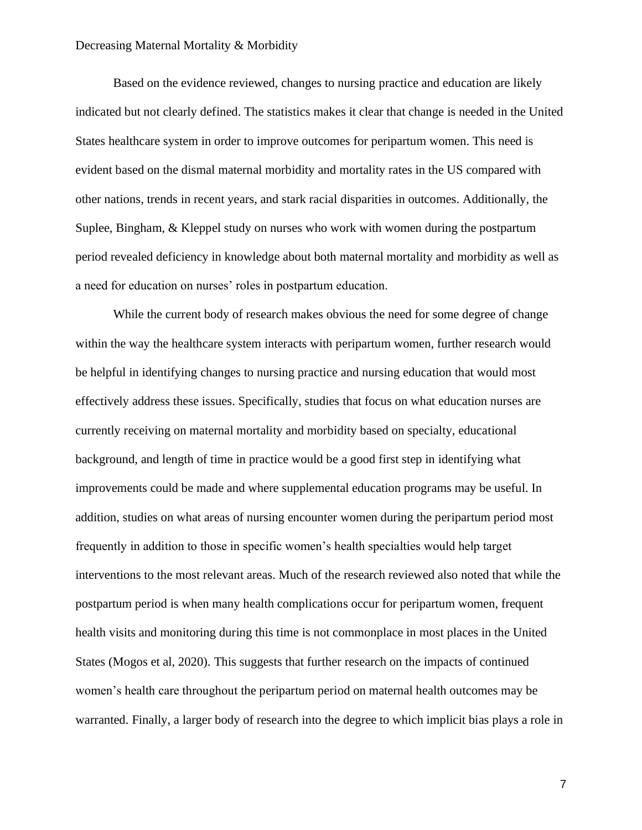Based on the evidence reviewed, changes to nursing practice and education are likely indicated but not clearly defined. The statistics makes it clear that change is needed in the United States healthcare system in order to improve outcomes for peripartum women. This need is evident based on the dismal maternal morbidity and mortality rates in the US compared with other nations, trends in recent years, and stark racial disparities in outcomes. Additionally, the Suplee, Bingham, & Kleppel study on nurses who work with women during the postpartum period revealed deficiency in knowledge about both maternal mortality and morbidity as well as a need for education on nurses' roles in postpartum education.

While the current body of research makes obvious the need for some degree of change within the way the healthcare system interacts with peripartum women, further research would be helpful in identifying changes to nursing practice and nursing education that would most effectively address these issues. Specifically, studies that focus on what education nurses are currently receiving on maternal mortality and morbidity based on specialty, educational background, and length of time in practice would be a good first step in identifying what improvements could be made and where supplemental education programs may be useful. In addition, studies on what areas of nursing encounter women during the peripartum period most frequently in addition to those in specific women's health specialties would help target interventions to the most relevant areas. Much of the research reviewed also noted that while the postpartum period is when many health complications occur for peripartum women, frequent health visits and monitoring during this time is not commonplace in most places in the United States (Mogos et al, 2020). This suggests that further research on the impacts of continued women's health care throughout the peripartum period on maternal health outcomes may be warranted. Finally, a larger body of research into the degree to which implicit bias plays a role in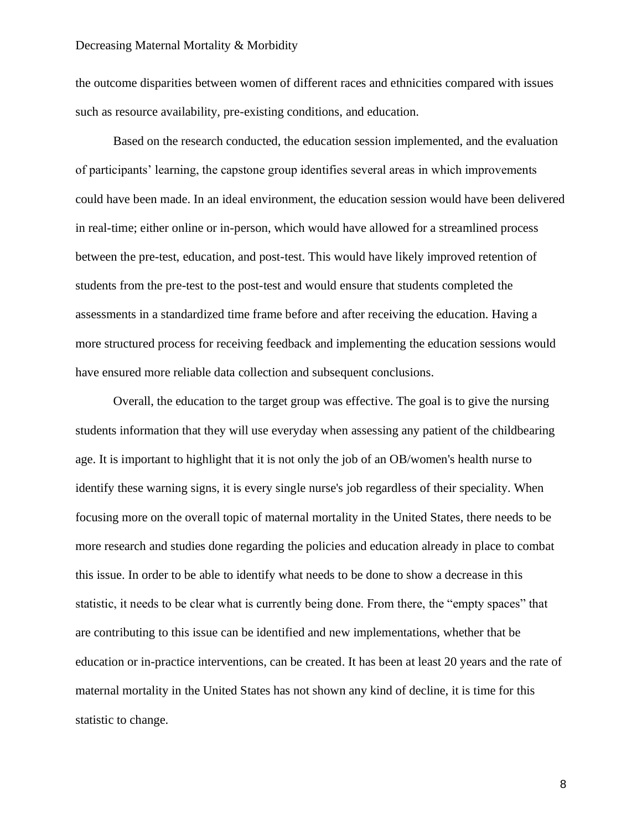the outcome disparities between women of different races and ethnicities compared with issues such as resource availability, pre-existing conditions, and education.

Based on the research conducted, the education session implemented, and the evaluation of participants' learning, the capstone group identifies several areas in which improvements could have been made. In an ideal environment, the education session would have been delivered in real-time; either online or in-person, which would have allowed for a streamlined process between the pre-test, education, and post-test. This would have likely improved retention of students from the pre-test to the post-test and would ensure that students completed the assessments in a standardized time frame before and after receiving the education. Having a more structured process for receiving feedback and implementing the education sessions would have ensured more reliable data collection and subsequent conclusions.

Overall, the education to the target group was effective. The goal is to give the nursing students information that they will use everyday when assessing any patient of the childbearing age. It is important to highlight that it is not only the job of an OB/women's health nurse to identify these warning signs, it is every single nurse's job regardless of their speciality. When focusing more on the overall topic of maternal mortality in the United States, there needs to be more research and studies done regarding the policies and education already in place to combat this issue. In order to be able to identify what needs to be done to show a decrease in this statistic, it needs to be clear what is currently being done. From there, the "empty spaces" that are contributing to this issue can be identified and new implementations, whether that be education or in-practice interventions, can be created. It has been at least 20 years and the rate of maternal mortality in the United States has not shown any kind of decline, it is time for this statistic to change.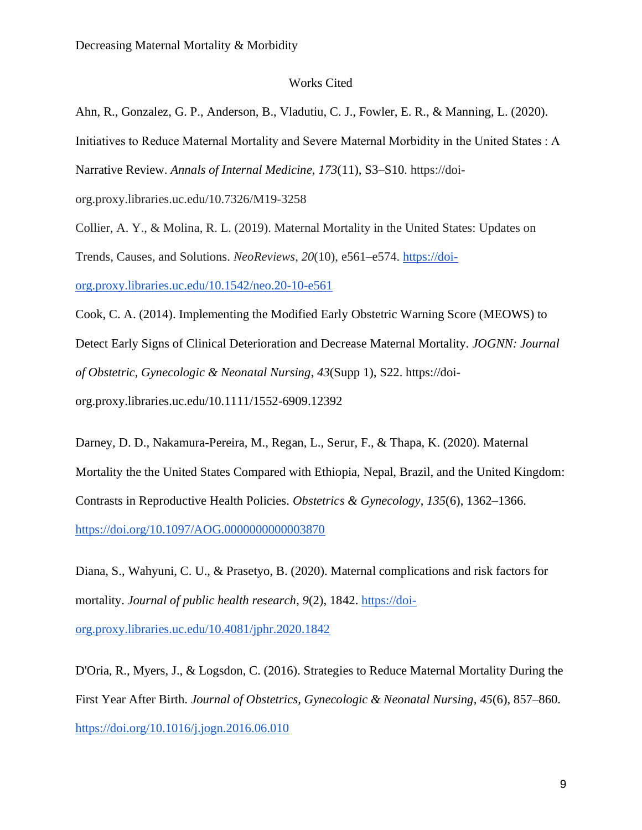# Works Cited

Ahn, R., Gonzalez, G. P., Anderson, B., Vladutiu, C. J., Fowler, E. R., & Manning, L. (2020). Initiatives to Reduce Maternal Mortality and Severe Maternal Morbidity in the United States : A Narrative Review. *Annals of Internal Medicine, 173*(11), S3–S10. [https://doi](https://doi-org.proxy.libraries.uc.edu/10.7326/M19-3258)[org.proxy.libraries.uc.edu/10.7326/M19-3258](https://doi-org.proxy.libraries.uc.edu/10.7326/M19-3258)

Collier, A. Y., & Molina, R. L. (2019). Maternal Mortality in the United States: Updates on Trends, Causes, and Solutions. *NeoReviews*, *20*(10), e561–e574. [https://doi](https://doi-org.proxy.libraries.uc.edu/10.1542/neo.20-10-e561)[org.proxy.libraries.uc.edu/10.1542/neo.20-10-e561](https://doi-org.proxy.libraries.uc.edu/10.1542/neo.20-10-e561)

Cook, C. A. (2014). Implementing the Modified Early Obstetric Warning Score (MEOWS) to Detect Early Signs of Clinical Deterioration and Decrease Maternal Mortality. *JOGNN: Journal of Obstetric, Gynecologic & Neonatal Nursing*, *43*(Supp 1), S22. https://doiorg.proxy.libraries.uc.edu/10.1111/1552-6909.12392

Darney, D. D., Nakamura-Pereira, M., Regan, L., Serur, F., & Thapa, K. (2020). Maternal Mortality the the United States Compared with Ethiopia, Nepal, Brazil, and the United Kingdom: Contrasts in Reproductive Health Policies. *Obstetrics & Gynecology*, *135*(6), 1362–1366. <https://doi.org/10.1097/AOG.0000000000003870>

Diana, S., Wahyuni, C. U., & Prasetyo, B. (2020). Maternal complications and risk factors for mortality. *Journal of public health research*, *9*(2), 1842. [https://doi](https://doi-org.proxy.libraries.uc.edu/10.4081/jphr.2020.1842)[org.proxy.libraries.uc.edu/10.4081/jphr.2020.1842](https://doi-org.proxy.libraries.uc.edu/10.4081/jphr.2020.1842)

D'Oria, R., Myers, J., & Logsdon, C. (2016). Strategies to Reduce Maternal Mortality During the First Year After Birth. *Journal of Obstetrics, Gynecologic & Neonatal Nursing*, *45*(6), 857–860. <https://doi.org/10.1016/j.jogn.2016.06.010>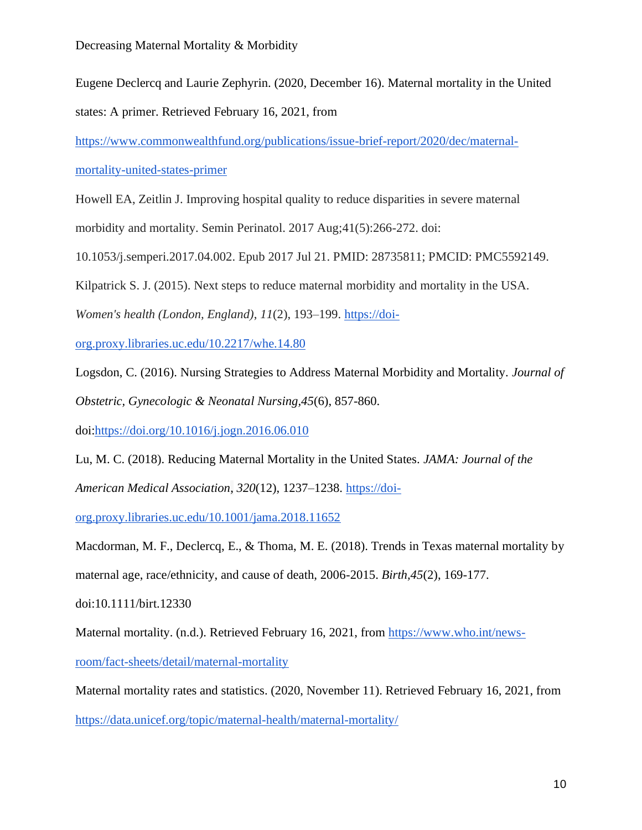Eugene Declercq and Laurie Zephyrin. (2020, December 16). Maternal mortality in the United states: A primer. Retrieved February 16, 2021, from

[https://www.commonwealthfund.org/publications/issue-brief-report/2020/dec/maternal-](https://www.commonwealthfund.org/publications/issue-brief-report/2020/dec/maternal-mortality-united-states-primer)

[mortality-united-states-primer](https://www.commonwealthfund.org/publications/issue-brief-report/2020/dec/maternal-mortality-united-states-primer)

Howell EA, Zeitlin J. Improving hospital quality to reduce disparities in severe maternal

morbidity and mortality. Semin Perinatol. 2017 Aug;41(5):266-272. doi:

10.1053/j.semperi.2017.04.002. Epub 2017 Jul 21. PMID: 28735811; PMCID: PMC5592149.

Kilpatrick S. J. (2015). Next steps to reduce maternal morbidity and mortality in the USA.

*Women's health (London, England)*, *11*(2), 193–199. [https://doi-](https://doi-org.proxy.libraries.uc.edu/10.2217/whe.14.80)

[org.proxy.libraries.uc.edu/10.2217/whe.14.80](https://doi-org.proxy.libraries.uc.edu/10.2217/whe.14.80)

Logsdon, C. (2016). Nursing Strategies to Address Maternal Morbidity and Mortality. *Journal of Obstetric, Gynecologic & Neonatal Nursing,45*(6), 857-860.

doi[:https://doi.org/10.1016/j.jogn.2016.06.010](https://doi.org/10.1016/j.jogn.2016.06.010)

Lu, M. C. (2018). Reducing Maternal Mortality in the United States. *JAMA: Journal of the American Medical Association*, *320*(12), 1237–1238. [https://doi-](https://doi-org.proxy.libraries.uc.edu/10.1001/jama.2018.11652)

[org.proxy.libraries.uc.edu/10.1001/jama.2018.11652](https://doi-org.proxy.libraries.uc.edu/10.1001/jama.2018.11652)

Macdorman, M. F., Declercq, E., & Thoma, M. E. (2018). Trends in Texas maternal mortality by maternal age, race/ethnicity, and cause of death, 2006-2015. *Birth,45*(2), 169-177.

doi:10.1111/birt.12330

Maternal mortality. (n.d.). Retrieved February 16, 2021, from [https://www.who.int/news-](https://www.who.int/news-room/fact-sheets/detail/maternal-mortality)

[room/fact-sheets/detail/maternal-mortality](https://www.who.int/news-room/fact-sheets/detail/maternal-mortality)

Maternal mortality rates and statistics. (2020, November 11). Retrieved February 16, 2021, from <https://data.unicef.org/topic/maternal-health/maternal-mortality/>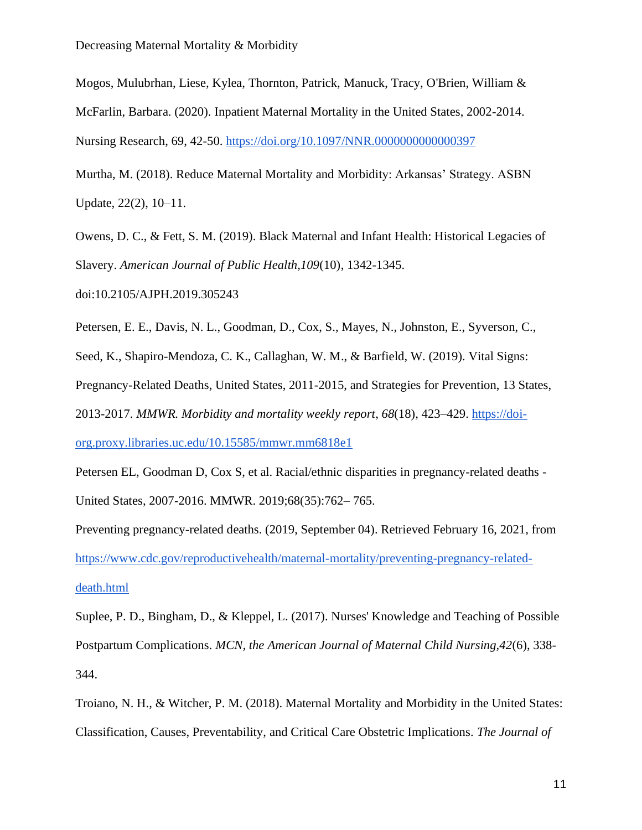Mogos, Mulubrhan, Liese, Kylea, Thornton, Patrick, Manuck, Tracy, O'Brien, William & McFarlin, Barbara. (2020). Inpatient Maternal Mortality in the United States, 2002-2014. Nursing Research, 69, 42-50.<https://doi.org/10.1097/NNR.0000000000000397>

Murtha, M. (2018). Reduce Maternal Mortality and Morbidity: Arkansas' Strategy. ASBN Update, 22(2), 10–11.

Owens, D. C., & Fett, S. M. (2019). Black Maternal and Infant Health: Historical Legacies of Slavery. *American Journal of Public Health,109*(10), 1342-1345.

doi:10.2105/AJPH.2019.305243

Petersen, E. E., Davis, N. L., Goodman, D., Cox, S., Mayes, N., Johnston, E., Syverson, C.,

Seed, K., Shapiro-Mendoza, C. K., Callaghan, W. M., & Barfield, W. (2019). Vital Signs:

Pregnancy-Related Deaths, United States, 2011-2015, and Strategies for Prevention, 13 States,

2013-2017. *MMWR. Morbidity and mortality weekly report*, *68*(18), 423–429. [https://doi-](https://doi-org.proxy.libraries.uc.edu/10.15585/mmwr.mm6818e1)

[org.proxy.libraries.uc.edu/10.15585/mmwr.mm6818e1](https://doi-org.proxy.libraries.uc.edu/10.15585/mmwr.mm6818e1)

Petersen EL, Goodman D, Cox S, et al. Racial/ethnic disparities in pregnancy-related deaths - United States, 2007-2016. MMWR. 2019;68(35):762– 765.

Preventing pregnancy-related deaths. (2019, September 04). Retrieved February 16, 2021, from [https://www.cdc.gov/reproductivehealth/maternal-mortality/preventing-pregnancy-related](https://www.cdc.gov/reproductivehealth/maternal-mortality/preventing-pregnancy-related-death.html)[death.html](https://www.cdc.gov/reproductivehealth/maternal-mortality/preventing-pregnancy-related-death.html)

Suplee, P. D., Bingham, D., & Kleppel, L. (2017). Nurses' Knowledge and Teaching of Possible Postpartum Complications. *MCN, the American Journal of Maternal Child Nursing,42*(6), 338- 344.

Troiano, N. H., & Witcher, P. M. (2018). Maternal Mortality and Morbidity in the United States: Classification, Causes, Preventability, and Critical Care Obstetric Implications. *The Journal of*